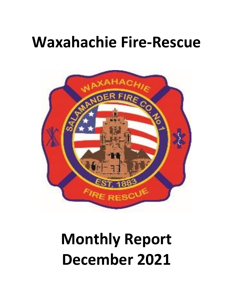## **Waxahachie Fire-Rescue**



# **Monthly Report December 2021**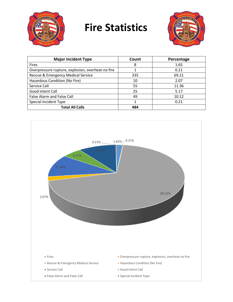

### **Fire Statistics**



| <b>Major Incident Type</b>                        | Count | Percentage |
|---------------------------------------------------|-------|------------|
|                                                   | 8     | 1.65       |
| <b>Fires</b>                                      |       |            |
| Overpressure rupture, explosion, overheat-no fire |       | 0.21       |
| Rescue & Emergency Medical Service                | 335   | 69.21      |
| Hazardous Condition (No Fire)                     | 10    | 2.07       |
| Service Call                                      | 55    | 11.36      |
| Good Intent Call                                  | 25    | 5.17       |
| False Alarm and False Call                        | 49    | 10.12      |
| Special Incident Type                             |       | 0.21       |
| <b>Total All Calls</b>                            | 484   |            |

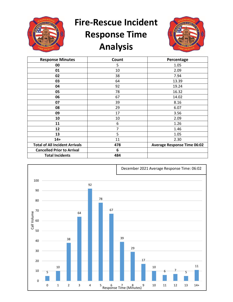

## **Fire-Rescue Incident Response Time Analysis**



| <b>Response Minutes</b>               | Count | Percentage                         |
|---------------------------------------|-------|------------------------------------|
| 00                                    | 5     | 1.05                               |
| 01                                    | 10    | 2.09                               |
| 02                                    | 38    | 7.94                               |
| 03                                    | 64    | 13.39                              |
| 04                                    | 92    | 19.24                              |
| 05                                    | 78    | 16.32                              |
| 06                                    | 67    | 14.02                              |
| 07                                    | 39    | 8.16                               |
| 08                                    | 29    | 6.07                               |
| 09                                    | 17    | 3.56                               |
| 10                                    | 10    | 2.09                               |
| 11                                    | 6     | 1.26                               |
| 12                                    | 7     | 1.46                               |
| 13                                    | 5     | 1.05                               |
| $14+$                                 | 11    | 2.30                               |
| <b>Total of All Incident Arrivals</b> | 478   | <b>Average Response Time 06:02</b> |
| <b>Cancelled Prior to Arrival</b>     | 6     |                                    |
| <b>Total Incidents</b>                | 484   |                                    |

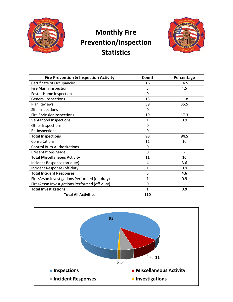

#### **Monthly Fire Prevention/Inspection Statistics**



| <b>Fire Prevention &amp; Inspection Activity</b> | Count        | Percentage        |
|--------------------------------------------------|--------------|-------------------|
| <b>Certificate of Occupancies</b>                | 16           | 14.5              |
| Fire Alarm Inspection                            | 5            | 4.5               |
| <b>Foster Home Inspections</b>                   | $\mathbf 0$  |                   |
| <b>General Inspections</b>                       | 13           | 11.8              |
| <b>Plan Reviews</b>                              | 39           | 35.5              |
| Site Inspections                                 | $\mathbf{0}$ |                   |
| <b>Fire Sprinkler Inspections</b>                | 19           | 17.3              |
| Ventahood Inspections                            | 1            | 0.9               |
| Other Inspections                                | 0            |                   |
| Re-Inspections                                   | $\Omega$     | $\qquad \qquad -$ |
| <b>Total Inspections</b>                         | 93           | 84.5              |
| Consultations                                    | 11           | 10                |
| <b>Control Burn Authorizations</b>               | $\mathbf 0$  |                   |
| <b>Presentations Made</b>                        | $\Omega$     |                   |
| <b>Total Miscellaneous Activity</b>              | 11           | 10                |
| Incident Response (on-duty)                      | 4            | 3.6               |
| Incident Response (off-duty)                     | $\mathbf{1}$ | 0.9               |
| <b>Total Incident Responses</b>                  | 5            | 4.6               |
| Fire/Arson Investigations Performed (on-duty)    | 1            | 0.9               |
| Fire/Arson Investigations Performed (off-duty)   | $\mathbf 0$  |                   |
| <b>Total Investigations</b>                      | $\mathbf{1}$ | 0.9               |
| <b>Total All Activities</b>                      | 110          |                   |